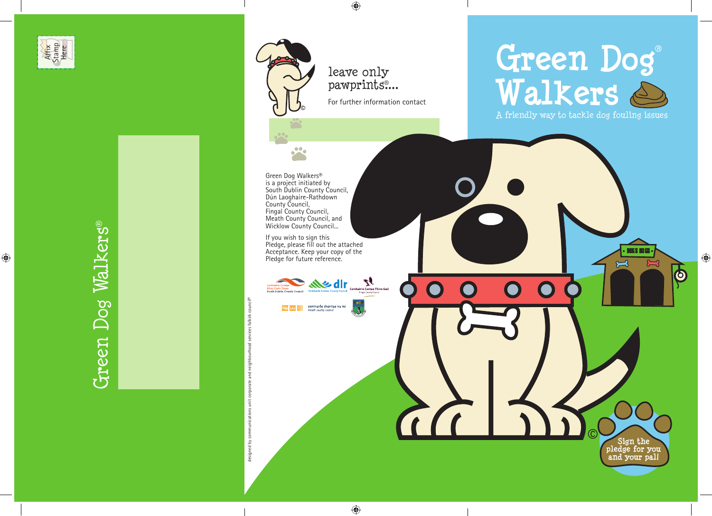Affix Stamp Here

 $\bigoplus$ 

Green Dog Walkers® Green Dog Walkers®

For further information contact

leave only pawprints<sup>®</sup>...

 $\bullet$ 

 $\bigoplus$ 

Green Dog Walkers® is a project initiated by South Dublin County Council, Dún Laoghaire-Rathdown County Council, Fingal County Council, Meath County Council, and Wicklow County Council...

If you wish to sign this Pledge, please fill out the attached Acceptance. Keep your copy of the Pledge for future reference.



designed by communications unit corporate and neighbourhood services falkirk council®

designed by cor

# Green Dog<br>Walkers

A friendly way to tackle dog fouling issues

 $\bullet$ 

**Sign the pledge for you and your pal!** 

DOG SI BO GS K

 $\sum$ 

 $\overline{\mathbf{\Phi}}$ 

 $\approx$ 



 $\bigoplus$